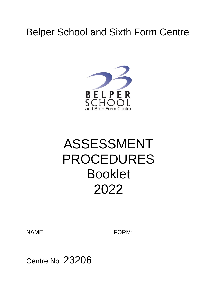# **Belper School and Sixth Form Centre**



# ASSESSMENT PROCEDURES Booklet 2022

NAME: \_\_\_\_\_\_\_\_\_\_\_\_\_\_\_\_\_\_\_\_\_\_\_\_\_\_\_\_\_ FORM: \_\_\_\_\_\_\_\_

Centre No: 23206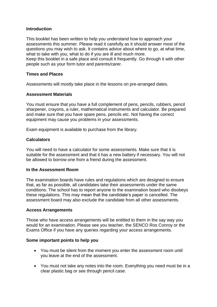### **Introduction**

This booklet has been written to help you understand how to approach your assessments this summer. Please read it carefully as it should answer most of the questions you may wish to ask. It contains advice about where to go, at what time, what to take with you, what to do if you are ill and much more.

Keep this booklet in a safe place and consult it frequently. Go through it with other people such as your form tutor and parents/carer.

### **Times and Places**

Assessments will mostly take place in the lessons on pre-arranged dates.

#### **Assessment Materials**

You must ensure that you have a full complement of pens, pencils, rubbers, pencil sharpener, crayons, a ruler, mathematical instruments and calculator. Be prepared and make sure that you have spare pens, pencils etc. Not having the correct equipment may cause you problems in your assessments.

Exam equipment is available to purchase from the library.

#### **Calculators**

You will need to have a calculator for some assessments. Make sure that it is suitable for the assessment and that it has a new battery if necessary. You will not be allowed to borrow one from a friend during the assessment.

#### **In the Assessment Room**

The examination boards have rules and regulations which are designed to ensure that, as far as possible, all candidates take their assessments under the same conditions. The school has to report anyone to the examination board who disobeys these regulations. This may mean that the candidate's paper is cancelled. The assessment board may also exclude the candidate from all other assessments.

#### **Access Arrangements**

Those who have access arrangements will be entitled to them in the say way you would for an examination. Please see you teacher, the SENCO Ros Conroy or the Exams Office if you have any queries regarding your access arrangements.

#### **Some important points to help you**

- You must be silent from the moment you enter the assessment room until you leave at the end of the assessment.
- You must not take any notes into the room. Everything you need must be in a clear plastic bag or see through pencil case.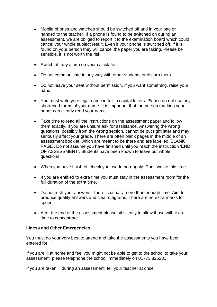- Mobile phones and watches should be switched off and in your bag or handed to the teacher. If a phone is found to be switched on during an assessment, we are obliged to report it to the examination board which could cancel your whole subject result. Even if your phone is switched off, if it is found on your person they will cancel the paper you are taking. Please be sensible, it is not worth the risk.
- Switch off any alarm on your calculator.
- Do not communicate in any way with other students or disturb them.
- Do not leave your seat without permission. If you want something, raise your hand.
- You must write your legal name in full in capital letters. Please do not use any shortened forms of your name. It is important that the person marking your paper can clearly read your name.
- Take time to read all the instructions on the assessment paper and follow them exactly. If you are unsure ask for assistance. Answering the wrong questions, possibly from the wrong section, cannot be put right later and may seriously affect your grade. There are often blank pages in the middle of an assessment booklet, which are meant to be there and are labelled 'BLANK PAGE'. Do not assume you have finished until you reach the instruction 'END OF ASSESSMENT'. Students have been known to leave out whole questions.
- When you have finished, check your work thoroughly. Don't waste this time.
- If you are entitled to extra time you must stay in the assessment room for the full duration of the extra time.
- Do not rush your answers. There is usually more than enough time. Aim to produce quality answers and clear diagrams. There are no extra marks for speed.
- After the end of the assessment please sit silently to allow those with extra time to concentrate.

#### **Illness and Other Emergencies**

You must do your very best to attend and take the assessments you have been entered for.

If you are ill at home and feel you might not be able to get to the school to take your assessment, please telephone the school immediately on 01773 825281.

If you are taken ill during an assessment, tell your teacher at once.